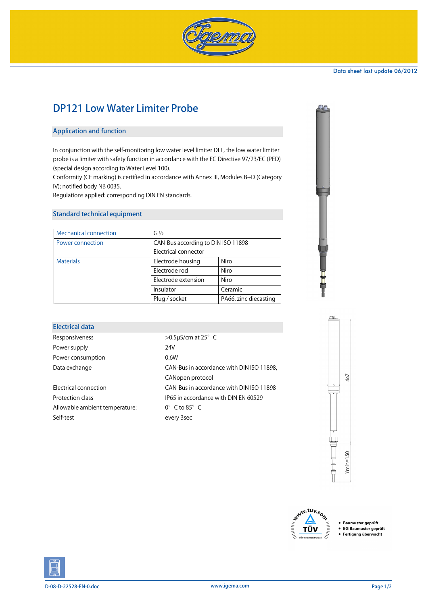

#### Data sheet last update 06/2012

# DP121 Low Water Limiter Probe

#### Application and function

In conjunction with the self-monitoring low water level limiter DLL, the low water limiter probe is a limiter with safety function in accordance with the EC Directive 97/23/EC (PED) (special design according to Water Level 100).

Conformity (CE marking) is certified in accordance with Annex III, Modules B+D (Category IV); notified body NB 0035.

Regulations applied: corresponding DIN EN standards.

### Standard technical equipment

| <b>Mechanical connection</b> | $G\frac{1}{2}$                     |                       |  |
|------------------------------|------------------------------------|-----------------------|--|
| Power connection             | CAN-Bus according to DIN ISO 11898 |                       |  |
|                              | Electrical connector               |                       |  |
| <b>Materials</b>             | Electrode housing                  | Niro                  |  |
|                              | Electrode rod                      | Niro                  |  |
|                              | Electrode extension                | Niro                  |  |
|                              | Insulator                          | Ceramic               |  |
|                              | Plug / socket                      | PA66, zinc diecasting |  |

| <b>Electrical data</b>         |                                           |  |
|--------------------------------|-------------------------------------------|--|
| Responsiveness                 | $>0.5$ µS/cm at 25 $^{\circ}$ C           |  |
| Power supply                   | 24V                                       |  |
| Power consumption              | 0.6W                                      |  |
| Data exchange                  | CAN-Bus in accordance with DIN ISO 11898, |  |
|                                | CANopen protocol                          |  |
| <b>Electrical connection</b>   | CAN-Bus in accordance with DIN ISO 11898  |  |
| Protection class               | IP65 in accordance with DIN EN 60529      |  |
| Allowable ambient temperature: | $0^{\circ}$ C to $85^{\circ}$ C           |  |
| Self-test                      | every 3sec                                |  |
|                                |                                           |  |





• Baumuster geprüft

- EG Baumuster geprüft<br>• Fertigung überwacht
	-